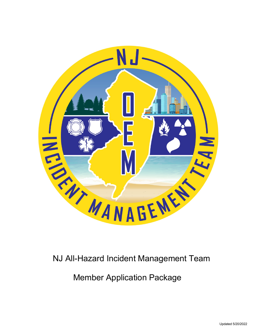

# NJ All-Hazard Incident Management Team

Member Application Package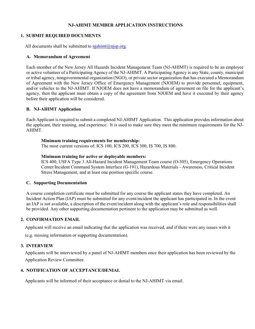# **NJ-AHIMT MEMBER APPLICATION INSTRUCTIONS**

#### **1. SUBMIT REQUIRED DOCUMENTS**

All documents shall be submitted to  $n_j$ *iahimt@[njsp.org.](mailto:nj-ahimt@gw.njsp.org)* 

#### **A. Memorandum of Agreement**

Each member of the New Jersey All Hazards Incident Management Team (NJ-AHIMT) is required to be an employee or active volunteer of a Participating Agency of the NJ-AHIMT. A Participating Agency is any State, county, municipal or tribal agency, nongovernmental organization (NGO), or private sector organization that has executed a Memorandum of Agreement with the New Jersey Office of Emergency Management (NJOEM) to provide personnel, equipment, and/or vehicles to the NJ-AHIMT. If NJOEM does not have a memorandum of agreement on file for the applicant's agency, then the applicant must obtain a copy of the agreement from NJOEM and have it executed by their agency before their application will be considered.

#### **B. NJ-AHIMT Application**

Each Applicant is required to submit a completed NJ-AHIMT Application. This application provides information about the applicant, their training, and experience. It is used to make sure they meet the minimum requirements for the NJ-AHIMT.

#### **Minimum training requirements for membership:**

The most current versions of: ICS 100, ICS 200, ICS 300, IS 700, IS 800.

#### **Minimum training for active or deployable members:**

ICS 400, USFA Type 3 All-Hazard Incident Management Team course (O-305), Emergency Operations Center/Incident Command System Interface (G-191), Hazardous Materials - Awareness, Critical Incident Stress Management, and at least one position specific course.

#### **C. Supporting Documentation**

A course completion certificate must be submitted for any course the applicant states they have completed. An Incident Action Plan (IAP) must be submitted for any event/incident the applicant has participated in. In the event an IAP is not available, a description of the event/incident along with the applicant's role and responsibilities shall be provided. Any other supporting documentation pertinent to the application may be submitted as well.

#### **2. CONFIRMATION EMAIL**

Applicant will receive an email indicating that the application was received, and if there were any issues with it

(e.g. missing information or supporting documentation).

#### **3. INTERVIEW**

Applicants will be interviewed by a panel of NJ-AHIMT members once their application has been reviewed by the Application Review Committee.

#### **4. NOTIFICATION OF ACCEPTANCE/DENIAL**

Applicants will be informed of their acceptance or denial to the NJ-AHIMT via email.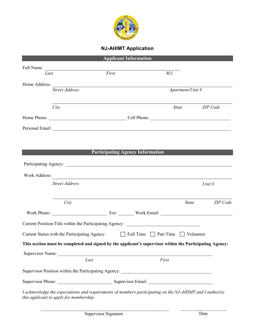

# **NJ-AHIMT Application**

| <b>Applicant Information</b>                                                                                                                        |       |                                             |                          |          |
|-----------------------------------------------------------------------------------------------------------------------------------------------------|-------|---------------------------------------------|--------------------------|----------|
|                                                                                                                                                     |       |                                             |                          |          |
| Last                                                                                                                                                | First | M.I.                                        |                          |          |
|                                                                                                                                                     |       |                                             |                          |          |
| <b>Street Address</b>                                                                                                                               |       |                                             | Apartment/Unit #         |          |
|                                                                                                                                                     |       |                                             |                          |          |
| City                                                                                                                                                |       |                                             | <i>State</i><br>ZIP Code |          |
|                                                                                                                                                     |       |                                             |                          |          |
|                                                                                                                                                     |       |                                             |                          |          |
|                                                                                                                                                     |       |                                             |                          |          |
|                                                                                                                                                     |       |                                             |                          |          |
|                                                                                                                                                     |       | <b>Participating Agency Information</b>     |                          |          |
|                                                                                                                                                     |       |                                             |                          |          |
|                                                                                                                                                     |       |                                             |                          |          |
| Work Address:                                                                                                                                       |       |                                             |                          |          |
| <b>Street Address</b>                                                                                                                               |       |                                             | Unit $#$                 |          |
|                                                                                                                                                     |       |                                             |                          |          |
| City                                                                                                                                                |       |                                             | <b>State</b>             | ZIP Code |
|                                                                                                                                                     |       |                                             |                          |          |
|                                                                                                                                                     |       |                                             |                          |          |
| Current Position/Title within the Participating Agency: _________________________                                                                   |       |                                             |                          |          |
| Current Status with the Participating Agency:                                                                                                       |       | Full Time $\Box$ Part Time $\Box$ Volunteer |                          |          |
| This section must be completed and signed by the applicant's supervisor within the Participating Agency:                                            |       |                                             |                          |          |
|                                                                                                                                                     |       |                                             |                          |          |
|                                                                                                                                                     | Last  | First                                       |                          |          |
|                                                                                                                                                     |       |                                             |                          |          |
|                                                                                                                                                     |       |                                             |                          |          |
| I acknowledge the expectations and requirements of members participating on the NJ-AHIMT and I authorize<br>this applicant to apply for membership. |       |                                             |                          |          |

 $\_$  , and the set of the set of the set of the set of the set of the set of the set of the set of the set of the set of the set of the set of the set of the set of the set of the set of the set of the set of the set of th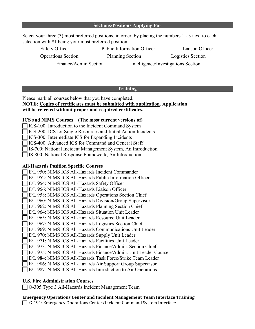| <b>Sections/Positions Applying For</b> |  |
|----------------------------------------|--|
|----------------------------------------|--|

Select your three (3) most preferred positions, in order, by placing the numbers 1 - 3 next to each selection with #1 being your most preferred position.

| Safety Officer            | <b>Public Information Officer</b>   | Liaison Officer   |
|---------------------------|-------------------------------------|-------------------|
| <b>Operations Section</b> | <b>Planning Section</b>             | Logistics Section |
| Finance/Admin Section     | Intelligence/Investigations Section |                   |

# **Training**

Please mark all courses below that you have completed.

**NOTE: Copies of certificates must be submitted with application. Application will be rejected without proper and required certificates.** 

# **ICS and NIMS Courses (The most current versions of)**

- □ICS-100: Introduction to the Incident Command System
- ICS-200: ICS for Single Resources and Initial Action Incidents

ICS-300: Intermediate ICS for Expanding Incidents

ICS-400: Advanced ICS for Command and General Staff

IS-700: National Incident Management System, An Introduction

IS-800: National Response Framework, An Introduction

# **All-Hazards Position Specific Courses**

E/L 950: NIMS ICS All-Hazards Incident Commander

E/L 952: NIMS ICS All-Hazards Public Information Officer

# E/L 954: NIMS ICS All-Hazards Safety Officer

E/L 956: NIMS ICS All-Hazards Liaison Officer

E/L 958: NIMS ICS All-Hazards Operations Section Chief

E/L 960: NIMS ICS All-Hazards Division/Group Supervisor

E/L 962: NIMS ICS All-Hazards Planning Section Chief

- E/L 964: NIMS ICS All-Hazards Situation Unit Leader
- E/L 965: NIMS ICS All-Hazards Resource Unit Leader
- E/L 967: NIMS ICS All-Hazards Logistics Section Chief
- E/L 969: NIMS ICS All-Hazards Communications Unit Leader
- E/L 970: NIMS ICS All-Hazards Supply Unit Leader
- E/L 971: NIMS ICS All-Hazards Facilities Unit Leader
- E/L 973: NIMS ICS All-Hazards Finance/Admin. Section Chief
- E/L 975: NIMS ICS All-Hazards Finance/Admin. Unit Leader Course
- E/L 984: NIMS ICS All-Hazards Task Force/Strike Team Leader
- E/L 986: NIMS ICS All-Hazards Air Support Group Supervisor

E/L 987: NIMS ICS All-Hazards Introduction to Air Operations

# **U.S. Fire Administration Courses**

O-305 Type 3 All-Hazards Incident Management Team

# **Emergency Operations Center and Incident Management Team Interface Training**

□ G-191: Emergency Operations Center/Incident Command System Interface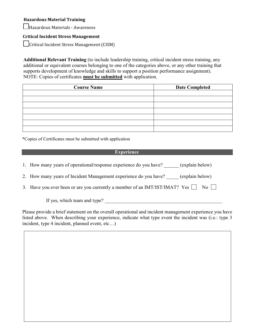# **Hazardous Material Training**

Hazardous Materials - Awareness

# **Critical Incident Stress Management**

Critical Incident Stress Management (CISM)

**Additional Relevant Training** (to include leadership training, critical incident stress training, any additional or equivalent courses belonging to one of the categories above, or any other training that supports development of knowledge and skills to support a position performance assignment). NOTE: Copies of certificates **must be submitted** with application.

| <b>Course Name</b> | <b>Date Completed</b> |
|--------------------|-----------------------|
|                    |                       |
|                    |                       |
|                    |                       |
|                    |                       |
|                    |                       |
|                    |                       |
|                    |                       |

\*Copies of Certificates must be submitted with application

# **Experience**

1. How many years of operational/response experience do you have? (explain below)

2. How many years of Incident Management experience do you have? (explain below)

3. Have you ever been or are you currently a member of an IMT/IST/IMAT? Yes  $\Box$  No  $\Box$ 

If yes, which team and type?

Please provide a brief statement on the overall operational and incident management experience you have listed above. When describing your experience, indicate what type event the incident was (i.e.: type 3 incident, type 4 incident, planned event, etc…)